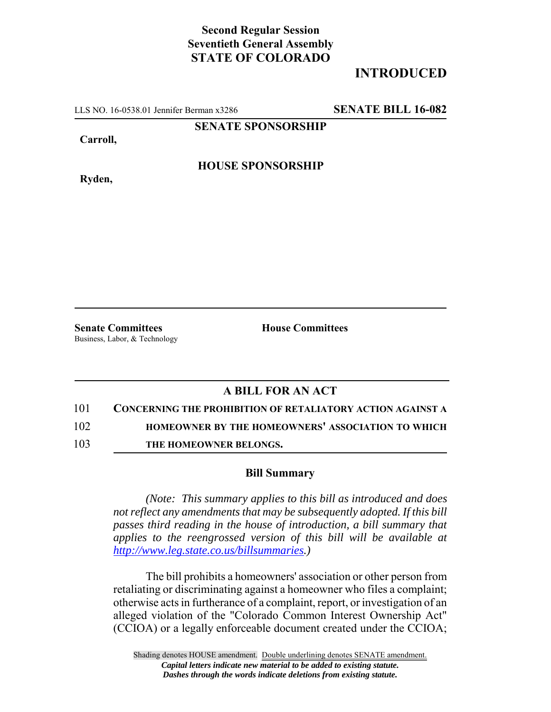## **Second Regular Session Seventieth General Assembly STATE OF COLORADO**

## **INTRODUCED**

LLS NO. 16-0538.01 Jennifer Berman x3286 **SENATE BILL 16-082**

**SENATE SPONSORSHIP**

**Carroll,**

**HOUSE SPONSORSHIP**

**Ryden,**

**Senate Committees House Committees** Business, Labor, & Technology

## **A BILL FOR AN ACT**

- 101 **CONCERNING THE PROHIBITION OF RETALIATORY ACTION AGAINST A**
- 102 **HOMEOWNER BY THE HOMEOWNERS' ASSOCIATION TO WHICH**
- 103 **THE HOMEOWNER BELONGS.**

## **Bill Summary**

*(Note: This summary applies to this bill as introduced and does not reflect any amendments that may be subsequently adopted. If this bill passes third reading in the house of introduction, a bill summary that applies to the reengrossed version of this bill will be available at http://www.leg.state.co.us/billsummaries.)*

The bill prohibits a homeowners' association or other person from retaliating or discriminating against a homeowner who files a complaint; otherwise acts in furtherance of a complaint, report, or investigation of an alleged violation of the "Colorado Common Interest Ownership Act" (CCIOA) or a legally enforceable document created under the CCIOA;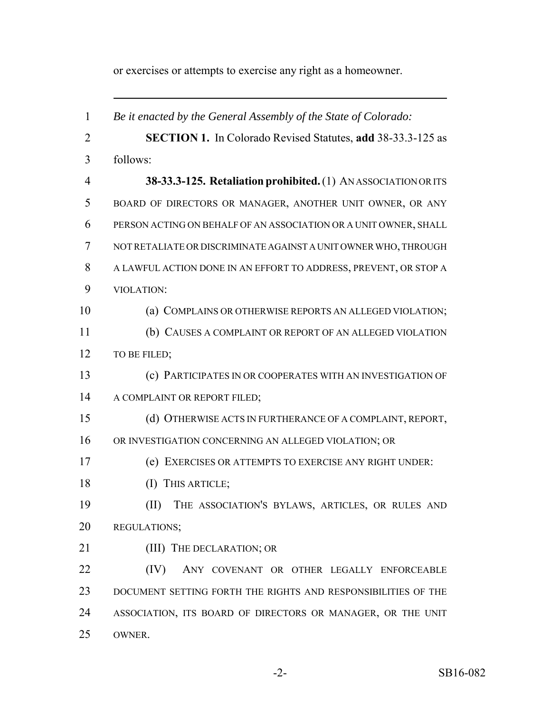or exercises or attempts to exercise any right as a homeowner.

| $\mathbf{1}$   | Be it enacted by the General Assembly of the State of Colorado:    |
|----------------|--------------------------------------------------------------------|
| $\overline{2}$ | <b>SECTION 1.</b> In Colorado Revised Statutes, add 38-33.3-125 as |
| 3              | follows:                                                           |
| $\overline{4}$ | 38-33.3-125. Retaliation prohibited. (1) ANASSOCIATION OR ITS      |
| 5              | BOARD OF DIRECTORS OR MANAGER, ANOTHER UNIT OWNER, OR ANY          |
| 6              | PERSON ACTING ON BEHALF OF AN ASSOCIATION OR A UNIT OWNER, SHALL   |
| 7              | NOT RETALIATE OR DISCRIMINATE AGAINST A UNIT OWNER WHO, THROUGH    |
| 8              | A LAWFUL ACTION DONE IN AN EFFORT TO ADDRESS, PREVENT, OR STOP A   |
| 9              | VIOLATION:                                                         |
| 10             | (a) COMPLAINS OR OTHERWISE REPORTS AN ALLEGED VIOLATION;           |
| 11             | (b) CAUSES A COMPLAINT OR REPORT OF AN ALLEGED VIOLATION           |
| 12             | TO BE FILED;                                                       |
| 13             | (c) PARTICIPATES IN OR COOPERATES WITH AN INVESTIGATION OF         |
| 14             | A COMPLAINT OR REPORT FILED;                                       |
| 15             | (d) OTHERWISE ACTS IN FURTHERANCE OF A COMPLAINT, REPORT,          |
| 16             | OR INVESTIGATION CONCERNING AN ALLEGED VIOLATION; OR               |
| 17             | (e) EXERCISES OR ATTEMPTS TO EXERCISE ANY RIGHT UNDER:             |
| 18             | (I) THIS ARTICLE;                                                  |
| 19             | THE ASSOCIATION'S BYLAWS, ARTICLES, OR RULES AND<br>(II)           |
| 20             | REGULATIONS;                                                       |
| 21             | (III) THE DECLARATION; OR                                          |
| 22             | (IV)<br>ANY COVENANT OR OTHER LEGALLY ENFORCEABLE                  |
| 23             | DOCUMENT SETTING FORTH THE RIGHTS AND RESPONSIBILITIES OF THE      |
| 24             | ASSOCIATION, ITS BOARD OF DIRECTORS OR MANAGER, OR THE UNIT        |
| 25             | OWNER.                                                             |